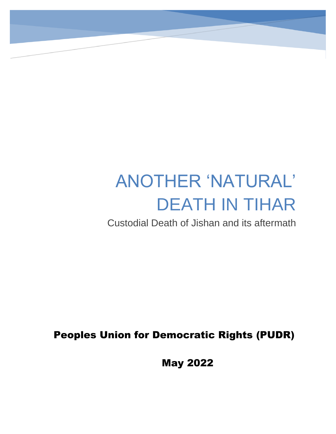# ANOTHER 'NATURAL' DEATH IN TIHAR

Custodial Death of Jishan and its aftermath

Peoples Union for Democratic Rights (PUDR)

May 2022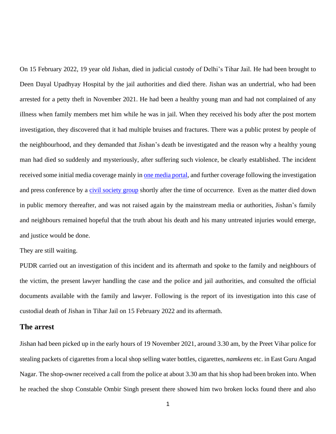On 15 February 2022, 19 year old Jishan, died in judicial custody of Delhi's Tihar Jail. He had been brought to Deen Dayal Upadhyay Hospital by the jail authorities and died there. Jishan was an undertrial, who had been arrested for a petty theft in November 2021. He had been a healthy young man and had not complained of any illness when family members met him while he was in jail. When they received his body after the post mortem investigation, they discovered that it had multiple bruises and fractures. There was a public protest by people of the neighbourhood, and they demanded that Jishan's death be investigated and the reason why a healthy young man had died so suddenly and mysteriously, after suffering such violence, be clearly established. The incident received some initial media coverage mainly in [one media portal,](https://maktoobmedia.com/2022/02/19/18-year-old-jailed-muslim-youth-dies-in-delhi-family-alleges-torture/) and further coverage following the investigation and press conference by a [civil society group](https://www.bing.com/search?pc=COSP&ptag=D041522-N9997AD0447C6901&form=CONBDF&conlogo=CT3335361&q=jishan%20jan%20hastakshep) shortly after the time of occurrence. Even as the matter died down in public memory thereafter, and was not raised again by the mainstream media or authorities, Jishan's family and neighbours remained hopeful that the truth about his death and his many untreated injuries would emerge, and justice would be done.

#### They are still waiting.

PUDR carried out an investigation of this incident and its aftermath and spoke to the family and neighbours of the victim, the present lawyer handling the case and the police and jail authorities, and consulted the official documents available with the family and lawyer. Following is the report of its investigation into this case of custodial death of Jishan in Tihar Jail on 15 February 2022 and its aftermath.

### **The arrest**

Jishan had been picked up in the early hours of 19 November 2021, around 3.30 am, by the Preet Vihar police for stealing packets of cigarettes from a local shop selling water bottles, cigarettes, *namkeens* etc. in East Guru Angad Nagar. The shop-owner received a call from the police at about 3.30 am that his shop had been broken into. When he reached the shop Constable Ombir Singh present there showed him two broken locks found there and also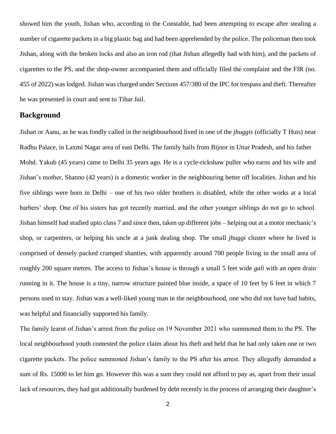showed him the youth, Jishan who, according to the Constable, had been attempting to escape after stealing a number of cigarette packets in a big plastic bag and had been apprehended by the police. The policeman then took Jishan, along with the broken locks and also an iron rod (that Jishan allegedly had with him), and the packets of cigarettes to the PS, and the shop-owner accompanied them and officially filed the complaint and the FIR (no. 455 of 2022) was lodged. Jishan was charged under Sections 457/380 of the IPC for trespass and theft. Thereafter he was presented in court and sent to Tihar Jail.

## **Background**

Jishan or Aanu, as he was fondly called in the neighbourhood lived in one of the *jhuggis* (officially T Huts) near Radhu Palace, in Laxmi Nagar area of east Delhi. The family hails from Bijnor in Uttar Pradesh, and his father Mohd. Yakub (45 years) came to Delhi 35 years ago. He is a cycle-rickshaw puller who earns and his wife and Jishan's mother, Shanno (42 years) is a domestic worker in the neighbouring better off localities. Jishan and his five siblings were born in Delhi – one of his two older brothers is disabled, while the other works at a local barbers' shop. One of his sisters has got recently married, and the other younger siblings do not go to school. Jishan himself had studied upto class 7 and since then, taken up different jobs – helping out at a motor mechanic's shop, or carpenters, or helping his uncle at a junk dealing shop. The small *jhuggi* cluster where he lived is comprised of densely packed cramped shanties, with apparently around 700 people living in the small area of roughly 200 square metres. The access to Jishan's house is through a small 5 feet wide *gali* with an open drain running in it. The house is a tiny, narrow structure painted blue inside, a space of 10 feet by 6 feet in which 7 persons used to stay. Jishan was a well-liked young man in the neighbourhood, one who did not have bad habits, was helpful and financially supported his family.

The family learnt of Jishan's arrest from the police on 19 November 2021 who summoned them to the PS. The local neighbourhood youth contested the police claim about his theft and held that he had only taken one or two cigarette packets. The police summoned Jishan's family to the PS after his arrest. They allegedly demanded a sum of Rs. 15000 to let him go. However this was a sum they could not afford to pay as, apart from their usual lack of resources, they had got additionally burdened by debt recently in the process of arranging their daughter's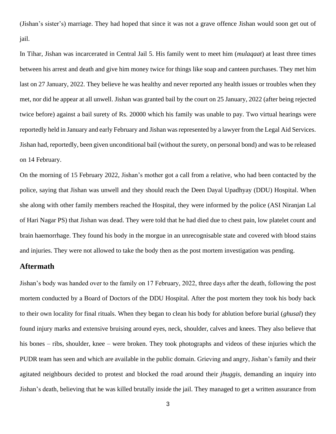(Jishan's sister's) marriage. They had hoped that since it was not a grave offence Jishan would soon get out of jail.

In Tihar, Jishan was incarcerated in Central Jail 5. His family went to meet him (*mulaqaat*) at least three times between his arrest and death and give him money twice for things like soap and canteen purchases. They met him last on 27 January, 2022. They believe he was healthy and never reported any health issues or troubles when they met, nor did he appear at all unwell. Jishan was granted bail by the court on 25 January, 2022 (after being rejected twice before) against a bail surety of Rs. 20000 which his family was unable to pay. Two virtual hearings were reportedly held in January and early February and Jishan was represented by a lawyer from the Legal Aid Services. Jishan had, reportedly, been given unconditional bail (without the surety, on personal bond) and was to be released on 14 February.

On the morning of 15 February 2022, Jishan's mother got a call from a relative, who had been contacted by the police, saying that Jishan was unwell and they should reach the Deen Dayal Upadhyay (DDU) Hospital. When she along with other family members reached the Hospital, they were informed by the police (ASI Niranjan Lal of Hari Nagar PS) that Jishan was dead. They were told that he had died due to chest pain, low platelet count and brain haemorrhage. They found his body in the morgue in an unrecognisable state and covered with blood stains and injuries. They were not allowed to take the body then as the post mortem investigation was pending.

## **Aftermath**

Jishan's body was handed over to the family on 17 February, 2022, three days after the death, following the post mortem conducted by a Board of Doctors of the DDU Hospital. After the post mortem they took his body back to their own locality for final rituals. When they began to clean his body for ablution before burial (*ghusal*) they found injury marks and extensive bruising around eyes, neck, shoulder, calves and knees. They also believe that his bones – ribs, shoulder, knee – were broken. They took photographs and videos of these injuries which the PUDR team has seen and which are available in the public domain. Grieving and angry, Jishan's family and their agitated neighbours decided to protest and blocked the road around their *jhuggis*, demanding an inquiry into Jishan's death, believing that he was killed brutally inside the jail. They managed to get a written assurance from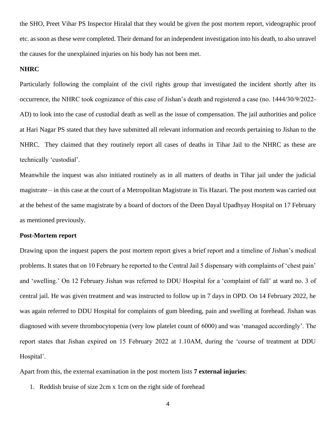the SHO, Preet Vihar PS Inspector Hiralal that they would be given the post mortem report, videographic proof etc. as soon as these were completed. Their demand for an independent investigation into his death, to also unravel the causes for the unexplained injuries on his body has not been met.

#### **NHRC**

Particularly following the complaint of the civil rights group that investigated the incident shortly after its occurrence, the NHRC took cognizance of this case of Jishan's death and registered a case (no. 1444/30/9/2022- AD) to look into the case of custodial death as well as the issue of compensation. The jail authorities and police at Hari Nagar PS stated that they have submitted all relevant information and records pertaining to Jishan to the NHRC. They claimed that they routinely report all cases of deaths in Tihar Jail to the NHRC as these are technically 'custodial'.

Meanwhile the inquest was also initiated routinely as in all matters of deaths in Tihar jail under the judicial magistrate – in this case at the court of a Metropolitan Magistrate in Tis Hazari. The post mortem was carried out at the behest of the same magistrate by a board of doctors of the Deen Dayal Upadhyay Hospital on 17 February as mentioned previously.

#### **Post-Mortem report**

Drawing upon the inquest papers the post mortem report gives a brief report and a timeline of Jishan's medical problems. It states that on 10 February he reported to the Central Jail 5 dispensary with complaints of 'chest pain' and 'swelling.' On 12 February Jishan was referred to DDU Hospital for a 'complaint of fall' at ward no. 3 of central jail. He was given treatment and was instructed to follow up in 7 days in OPD. On 14 February 2022, he was again referred to DDU Hospital for complaints of gum bleeding, pain and swelling at forehead. Jishan was diagnosed with severe thrombocytopenia (very low platelet count of 6000) and was 'managed accordingly'. The report states that Jishan expired on 15 February 2022 at 1.10AM, during the 'course of treatment at DDU Hospital'.

Apart from this, the external examination in the post mortem lists **7 external injuries**:

1. Reddish bruise of size 2cm x 1cm on the right side of forehead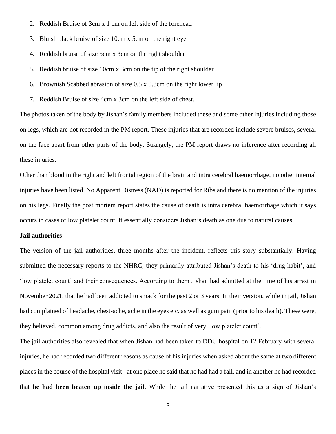- 2. Reddish Bruise of 3cm x 1 cm on left side of the forehead
- 3. Bluish black bruise of size 10cm x 5cm on the right eye
- 4. Reddish bruise of size 5cm x 3cm on the right shoulder
- 5. Reddish bruise of size 10cm x 3cm on the tip of the right shoulder
- 6. Brownish Scabbed abrasion of size 0.5 x 0.3cm on the right lower lip
- 7. Reddish Bruise of size 4cm x 3cm on the left side of chest.

The photos taken of the body by Jishan's family members included these and some other injuries including those on legs, which are not recorded in the PM report. These injuries that are recorded include severe bruises, several on the face apart from other parts of the body. Strangely, the PM report draws no inference after recording all these injuries.

Other than blood in the right and left frontal region of the brain and intra cerebral haemorrhage, no other internal injuries have been listed. No Apparent Distress (NAD) is reported for Ribs and there is no mention of the injuries on his legs. Finally the post mortem report states the cause of death is intra cerebral haemorrhage which it says occurs in cases of low platelet count. It essentially considers Jishan's death as one due to natural causes.

## **Jail authorities**

The version of the jail authorities, three months after the incident, reflects this story substantially. Having submitted the necessary reports to the NHRC, they primarily attributed Jishan's death to his 'drug habit', and 'low platelet count' and their consequences. According to them Jishan had admitted at the time of his arrest in November 2021, that he had been addicted to smack for the past 2 or 3 years. In their version, while in jail, Jishan had complained of headache, chest-ache, ache in the eyes etc. as well as gum pain (prior to his death). These were, they believed, common among drug addicts, and also the result of very 'low platelet count'.

The jail authorities also revealed that when Jishan had been taken to DDU hospital on 12 February with several injuries, he had recorded two different reasons as cause of his injuries when asked about the same at two different places in the course of the hospital visit– at one place he said that he had had a fall, and in another he had recorded that **he had been beaten up inside the jail**. While the jail narrative presented this as a sign of Jishan's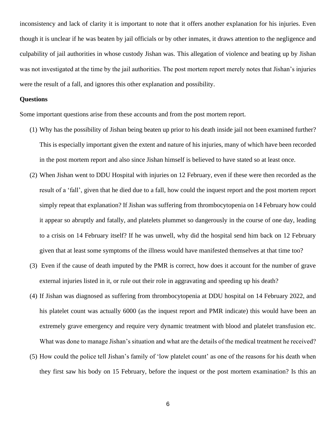inconsistency and lack of clarity it is important to note that it offers another explanation for his injuries. Even though it is unclear if he was beaten by jail officials or by other inmates, it draws attention to the negligence and culpability of jail authorities in whose custody Jishan was. This allegation of violence and beating up by Jishan was not investigated at the time by the jail authorities. The post mortem report merely notes that Jishan's injuries were the result of a fall, and ignores this other explanation and possibility.

#### **Questions**

Some important questions arise from these accounts and from the post mortem report.

- (1) Why has the possibility of Jishan being beaten up prior to his death inside jail not been examined further? This is especially important given the extent and nature of his injuries, many of which have been recorded in the post mortem report and also since Jishan himself is believed to have stated so at least once.
- (2) When Jishan went to DDU Hospital with injuries on 12 February, even if these were then recorded as the result of a 'fall', given that he died due to a fall, how could the inquest report and the post mortem report simply repeat that explanation? If Jishan was suffering from thrombocytopenia on 14 February how could it appear so abruptly and fatally, and platelets plummet so dangerously in the course of one day, leading to a crisis on 14 February itself? If he was unwell, why did the hospital send him back on 12 February given that at least some symptoms of the illness would have manifested themselves at that time too?
- (3) Even if the cause of death imputed by the PMR is correct, how does it account for the number of grave external injuries listed in it, or rule out their role in aggravating and speeding up his death?
- (4) If Jishan was diagnosed as suffering from thrombocytopenia at DDU hospital on 14 February 2022, and his platelet count was actually 6000 (as the inquest report and PMR indicate) this would have been an extremely grave emergency and require very dynamic treatment with blood and platelet transfusion etc. What was done to manage Jishan's situation and what are the details of the medical treatment he received?
- (5) How could the police tell Jishan's family of 'low platelet count' as one of the reasons for his death when they first saw his body on 15 February, before the inquest or the post mortem examination? Is this an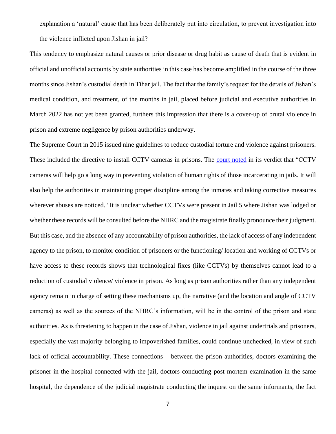explanation a 'natural' cause that has been deliberately put into circulation, to prevent investigation into the violence inflicted upon Jishan in jail?

This tendency to emphasize natural causes or prior disease or drug habit as cause of death that is evident in official and unofficial accounts by state authorities in this case has become amplified in the course of the three months since Jishan's custodial death in Tihar jail. The fact that the family's request for the details of Jishan's medical condition, and treatment, of the months in jail, placed before judicial and executive authorities in March 2022 has not yet been granted, furthers this impression that there is a cover-up of brutal violence in prison and extreme negligence by prison authorities underway.

The Supreme Court in 2015 issued nine guidelines to reduce custodial torture and violence against prisoners. These included the directive to install CCTV cameras in prisons. The [court noted](https://www.livemint.com/Politics/j8miSkDPus1XeyLJVcWZXM/SC-lays-down-guidelines-to-prevent-custodial-torture.html) in its verdict that "CCTV cameras will help go a long way in preventing violation of human rights of those incarcerating in jails. It will also help the authorities in maintaining proper discipline among the inmates and taking corrective measures wherever abuses are noticed." It is unclear whether CCTVs were present in Jail 5 where Jishan was lodged or whether these records will be consulted before the NHRC and the magistrate finally pronounce their judgment. But this case, and the absence of any accountability of prison authorities, the lack of access of any independent agency to the prison, to monitor condition of prisoners or the functioning/ location and working of CCTVs or have access to these records shows that technological fixes (like CCTVs) by themselves cannot lead to a reduction of custodial violence/ violence in prison. As long as prison authorities rather than any independent agency remain in charge of setting these mechanisms up, the narrative (and the location and angle of CCTV cameras) as well as the sources of the NHRC's information, will be in the control of the prison and state authorities. As is threatening to happen in the case of Jishan, violence in jail against undertrials and prisoners, especially the vast majority belonging to impoverished families, could continue unchecked, in view of such lack of official accountability. These connections – between the prison authorities, doctors examining the prisoner in the hospital connected with the jail, doctors conducting post mortem examination in the same hospital, the dependence of the judicial magistrate conducting the inquest on the same informants, the fact